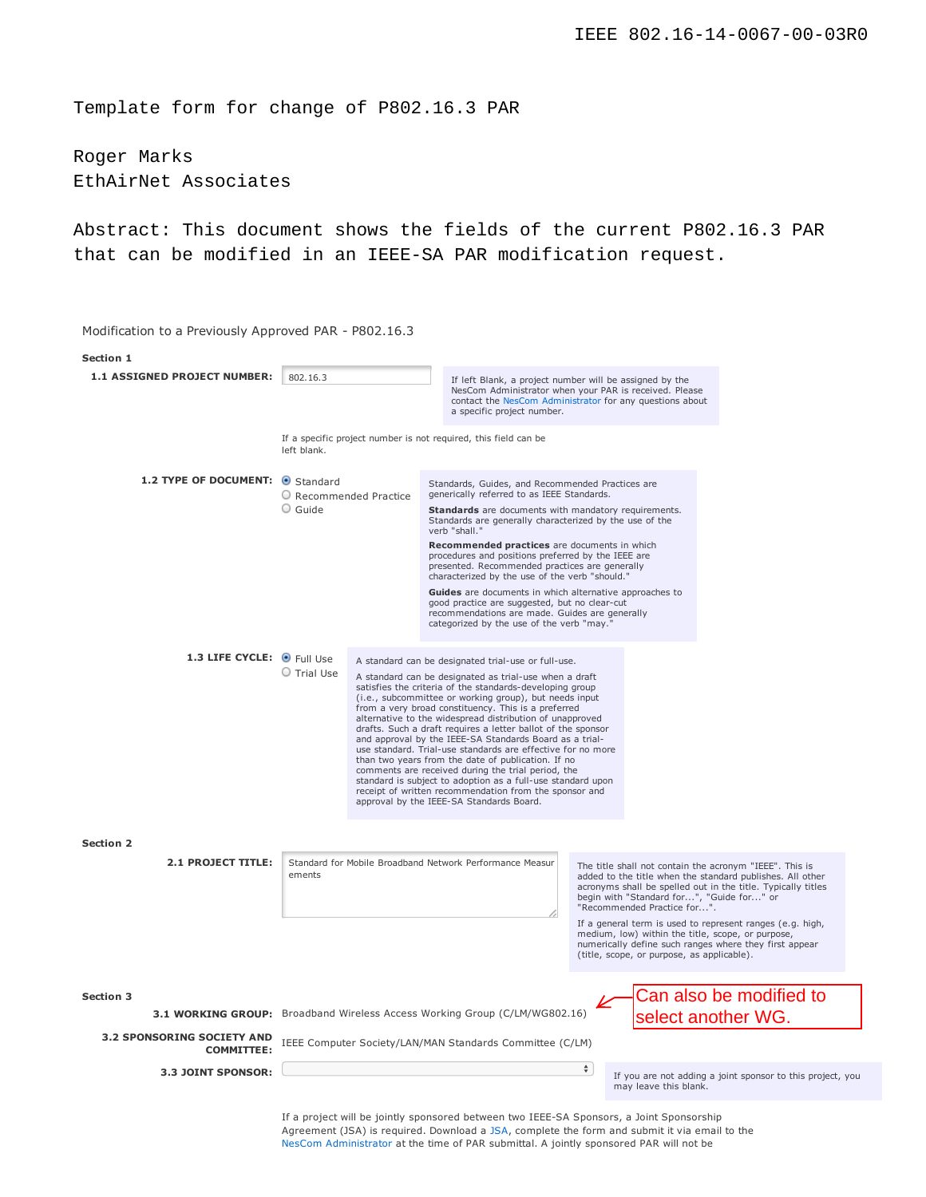Template form for change of P802.16.3 PAR

Roger Marks EthAirNet Associates

Abstract: This document shows the fields of the current P802.16.3 PAR that can be modified in an IEEE-SA PAR modification request.

Modification to a Previously Approved PAR - P802.16.3 **Section 1** 1.1 **ASSIGNED PROJECT NUMBER:** 802.16.3 If left Blank, a project number will be assigned by the NesCom Administrator when your PAR is received. Please contact the NesCom Administrator for any questions about a specific project number. If a specific project number is not required, this field can be left blank. 1.2 **TYPE OF DOCUMENT: 8** Standard O Recommended Practice Guide Standards, Guides, and Recommended Practices are generically referred to as IEEE Standards **Standards** are documents with mandatory requirements. Standards are generally characterized by the use of the verb "shall." **Recommended practices** are documents in which procedures and positions preferred by the IEEE are presented. Recommended practices are generally characterized by the use of the verb "should." **Guides** are documents in which alternative approaches to good practice are suggested, but no clear-cut recommendations are made. Guides are generally categorized by the use of the verb "may. **1.3 LIFE CYCLE:** Full Use Trial Use A standard can be designated trial-use or full-use. A standard can be designated as trial-use when a draft satisfies the criteria of the standards-developing group (i.e., subcommittee or working group), but needs input from a very broad constituency. This is a preferred alternative to the widespread distribution of unapproved drafts. Such a draft requires a letter ballot of the sponsor and approval by the IEEE-SA Standards Board as a trialuse standard. Trial-use standards are effective for no more than two years from the date of publication. If no comments are received during the trial period, the standard is subject to adoption as a full-use standard upon receipt of written recommendation from the sponsor and approval by the IEEE-SA Standards Board. **Section 2** 2.1 **PROJECT TITLE:** Standard for Mobile Broadband Network Performance Measur ements The title shall not contain the acronym "IEEE". This is added to the title when the standard publishes. All other acronyms shall be spelled out in the title. Typically titles begin with "Standard for...", "Guide for..." or "Recommended Practice for..." If a general term is used to represent ranges (e.g. high, medium, low) within the title, scope, or purpose, numerically define such ranges where they first appear (title, scope, or purpose, as applicable). **Section 3 3.1 WORKING GROUP:** Broadband Wireless Access Working Group (C/LM/WG802.16) **3.2 SPONSORING SOCIETY AND COMMITTEE:** IEEE Computer Society/LAN/MAN Standards Committee (C/LM) **3.3 JOINT SPONSOR:** may leave this blank. Can also be modified to select another WG.

> If a project will be jointly sponsored between two IEEE-SA Sponsors, a Joint Sponsorship Agreement (JSA) is required. Download a JSA, complete the form and submit it via email to the NesCom Administrator at the time of PAR submittal. A jointly sponsored PAR will not be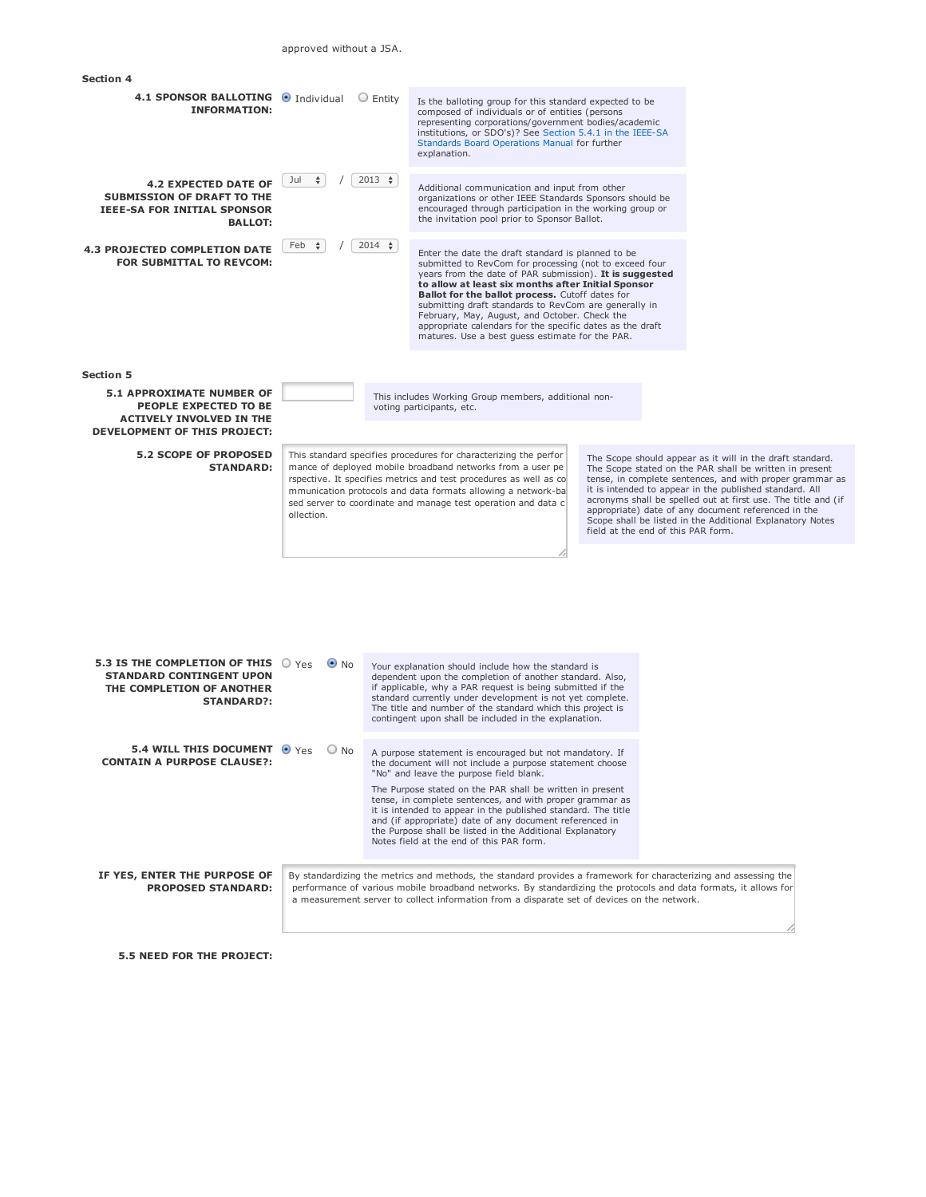| <b>Section 4</b>                                                                                                                                                                              |                                                                                                                                                                                                                                                                                                                                                                                                                                                                                                                                                                                                                                                                                                                                                                                                                              |                |                                                                                                                                                                                                                                                                                                                                                                                                                                                                                                                                                                                                                                                                                                                                                                                                                                                                                                   |  |  |  |
|-----------------------------------------------------------------------------------------------------------------------------------------------------------------------------------------------|------------------------------------------------------------------------------------------------------------------------------------------------------------------------------------------------------------------------------------------------------------------------------------------------------------------------------------------------------------------------------------------------------------------------------------------------------------------------------------------------------------------------------------------------------------------------------------------------------------------------------------------------------------------------------------------------------------------------------------------------------------------------------------------------------------------------------|----------------|---------------------------------------------------------------------------------------------------------------------------------------------------------------------------------------------------------------------------------------------------------------------------------------------------------------------------------------------------------------------------------------------------------------------------------------------------------------------------------------------------------------------------------------------------------------------------------------------------------------------------------------------------------------------------------------------------------------------------------------------------------------------------------------------------------------------------------------------------------------------------------------------------|--|--|--|
| 4.1 SPONSOR BALLOTING · Individual<br><b>INFORMATION:</b>                                                                                                                                     |                                                                                                                                                                                                                                                                                                                                                                                                                                                                                                                                                                                                                                                                                                                                                                                                                              | $\circ$ Entity | Is the balloting group for this standard expected to be<br>composed of individuals or of entities (persons<br>representing corporations/government bodies/academic<br>institutions, or SDO's)? See Section 5.4.1 in the IEEE-SA<br>Standards Board Operations Manual for further<br>explanation.                                                                                                                                                                                                                                                                                                                                                                                                                                                                                                                                                                                                  |  |  |  |
| <b>4.2 EXPECTED DATE OF</b><br><b>SUBMISSION OF DRAFT TO THE</b><br><b>IEEE-SA FOR INITIAL SPONSOR</b><br><b>BALLOT:</b>                                                                      | Jul<br>÷                                                                                                                                                                                                                                                                                                                                                                                                                                                                                                                                                                                                                                                                                                                                                                                                                     | $2013$ $\div$  | Additional communication and input from other<br>organizations or other IEEE Standards Sponsors should be<br>encouraged through participation in the working group or<br>the invitation pool prior to Sponsor Ballot.                                                                                                                                                                                                                                                                                                                                                                                                                                                                                                                                                                                                                                                                             |  |  |  |
| <b>4.3 PROJECTED COMPLETION DATE</b><br>FOR SUBMITTAL TO REVCOM:                                                                                                                              | Feb<br>$\div$                                                                                                                                                                                                                                                                                                                                                                                                                                                                                                                                                                                                                                                                                                                                                                                                                | $2014$ $\div$  | Enter the date the draft standard is planned to be<br>submitted to RevCom for processing (not to exceed four<br>years from the date of PAR submission). It is suggested<br>to allow at least six months after Initial Sponsor<br>Ballot for the ballot process. Cutoff dates for<br>submitting draft standards to RevCom are generally in<br>February, May, August, and October. Check the<br>appropriate calendars for the specific dates as the draft<br>matures. Use a best guess estimate for the PAR.                                                                                                                                                                                                                                                                                                                                                                                        |  |  |  |
| <b>Section 5</b>                                                                                                                                                                              |                                                                                                                                                                                                                                                                                                                                                                                                                                                                                                                                                                                                                                                                                                                                                                                                                              |                |                                                                                                                                                                                                                                                                                                                                                                                                                                                                                                                                                                                                                                                                                                                                                                                                                                                                                                   |  |  |  |
| <b>5.1 APPROXIMATE NUMBER OF</b><br>PEOPLE EXPECTED TO BE<br><b>ACTIVELY INVOLVED IN THE</b><br>DEVELOPMENT OF THIS PROJECT:                                                                  |                                                                                                                                                                                                                                                                                                                                                                                                                                                                                                                                                                                                                                                                                                                                                                                                                              |                | This includes Working Group members, additional non-<br>voting participants, etc.                                                                                                                                                                                                                                                                                                                                                                                                                                                                                                                                                                                                                                                                                                                                                                                                                 |  |  |  |
| <b>5.2 SCOPE OF PROPOSED</b><br><b>STANDARD:</b>                                                                                                                                              | This standard specifies procedures for characterizing the perfor<br>The Scope should appear as it will in the draft standard.<br>mance of deployed mobile broadband networks from a user pe<br>The Scope stated on the PAR shall be written in present<br>rspective. It specifies metrics and test procedures as well as co<br>tense, in complete sentences, and with proper grammar as<br>it is intended to appear in the published standard. All<br>mmunication protocols and data formats allowing a network-ba<br>acronyms shall be spelled out at first use. The title and (if<br>sed server to coordinate and manage test operation and data c<br>appropriate) date of any document referenced in the<br>ollection.<br>Scope shall be listed in the Additional Explanatory Notes<br>field at the end of this PAR form. |                |                                                                                                                                                                                                                                                                                                                                                                                                                                                                                                                                                                                                                                                                                                                                                                                                                                                                                                   |  |  |  |
| 5.3 IS THE COMPLETION OF THIS O Yes<br><b>STANDARD CONTINGENT UPON</b><br>THE COMPLETION OF ANOTHER<br><b>STANDARD?:</b><br>5.4 WILL THIS DOCUMENT O Yes<br><b>CONTAIN A PURPOSE CLAUSE?:</b> | $\bullet$ No<br>$\bigcirc$ No                                                                                                                                                                                                                                                                                                                                                                                                                                                                                                                                                                                                                                                                                                                                                                                                |                | Your explanation should include how the standard is<br>dependent upon the completion of another standard. Also,<br>if applicable, why a PAR request is being submitted if the<br>standard currently under development is not yet complete.<br>The title and number of the standard which this project is<br>contingent upon shall be included in the explanation.<br>A purpose statement is encouraged but not mandatory. If<br>the document will not include a purpose statement choose<br>"No" and leave the purpose field blank.<br>The Purpose stated on the PAR shall be written in present<br>tense, in complete sentences, and with proper grammar as<br>it is intended to appear in the published standard. The title<br>and (if appropriate) date of any document referenced in<br>the Purpose shall be listed in the Additional Explanatory<br>Notes field at the end of this PAR form. |  |  |  |
|                                                                                                                                                                                               |                                                                                                                                                                                                                                                                                                                                                                                                                                                                                                                                                                                                                                                                                                                                                                                                                              |                |                                                                                                                                                                                                                                                                                                                                                                                                                                                                                                                                                                                                                                                                                                                                                                                                                                                                                                   |  |  |  |

**IF YES, ENTER THE PURPOSE OF PROPOSED STANDARD:** By standardizing the metrics and methods, the standard provides a framework for characterizing and assessing the performance of various mobile broadband networks. By standardizing the protocols and data formats, it allows for a measurement server to collect information from a disparate set of devices on the network.

**5.5 NEED FOR THE PROJECT:**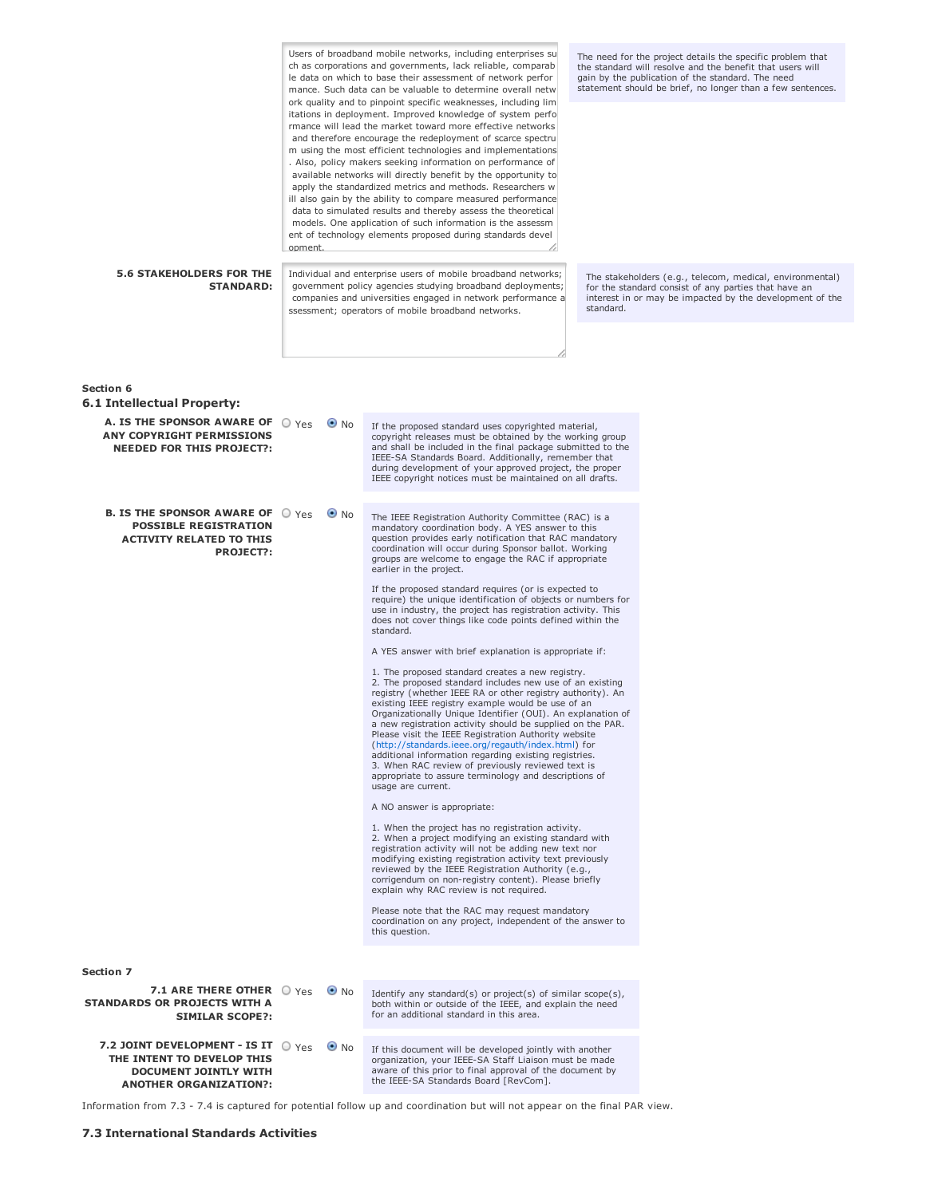| <b>5.6 STAKEHOLDERS FOR THE</b>                                                                                                                    | opment. |                                                                                                                                                                                 | Users of broadband mobile networks, including enterprises su<br>ch as corporations and governments, lack reliable, comparab<br>le data on which to base their assessment of network perfor<br>mance. Such data can be valuable to determine overall netw<br>ork quality and to pinpoint specific weaknesses, including lim<br>itations in deployment. Improved knowledge of system perfo<br>rmance will lead the market toward more effective networks<br>and therefore encourage the redeployment of scarce spectru<br>m using the most efficient technologies and implementations<br>. Also, policy makers seeking information on performance of<br>available networks will directly benefit by the opportunity to<br>apply the standardized metrics and methods. Researchers w<br>ill also gain by the ability to compare measured performance<br>data to simulated results and thereby assess the theoretical<br>models. One application of such information is the assessm<br>ent of technology elements proposed during standards devel<br>Individual and enterprise users of mobile broadband networks;                                                                                                                                                                                                                                                                                                                                                                                                                                                                                                                                                                                                                                                                                                                                                                      |  | The need for the project details the specific problem that<br>the standard will resolve and the benefit that users will<br>gain by the publication of the standard. The need<br>statement should be brief, no longer than a few sentences.<br>The stakeholders (e.g., telecom, medical, environmental) |
|----------------------------------------------------------------------------------------------------------------------------------------------------|---------|---------------------------------------------------------------------------------------------------------------------------------------------------------------------------------|-------------------------------------------------------------------------------------------------------------------------------------------------------------------------------------------------------------------------------------------------------------------------------------------------------------------------------------------------------------------------------------------------------------------------------------------------------------------------------------------------------------------------------------------------------------------------------------------------------------------------------------------------------------------------------------------------------------------------------------------------------------------------------------------------------------------------------------------------------------------------------------------------------------------------------------------------------------------------------------------------------------------------------------------------------------------------------------------------------------------------------------------------------------------------------------------------------------------------------------------------------------------------------------------------------------------------------------------------------------------------------------------------------------------------------------------------------------------------------------------------------------------------------------------------------------------------------------------------------------------------------------------------------------------------------------------------------------------------------------------------------------------------------------------------------------------------------------------------------------------------------------|--|--------------------------------------------------------------------------------------------------------------------------------------------------------------------------------------------------------------------------------------------------------------------------------------------------------|
| <b>STANDARD:</b>                                                                                                                                   |         | government policy agencies studying broadband deployments;<br>companies and universities engaged in network performance a<br>ssessment; operators of mobile broadband networks. |                                                                                                                                                                                                                                                                                                                                                                                                                                                                                                                                                                                                                                                                                                                                                                                                                                                                                                                                                                                                                                                                                                                                                                                                                                                                                                                                                                                                                                                                                                                                                                                                                                                                                                                                                                                                                                                                                     |  | for the standard consist of any parties that have an<br>interest in or may be impacted by the development of the                                                                                                                                                                                       |
|                                                                                                                                                    |         |                                                                                                                                                                                 |                                                                                                                                                                                                                                                                                                                                                                                                                                                                                                                                                                                                                                                                                                                                                                                                                                                                                                                                                                                                                                                                                                                                                                                                                                                                                                                                                                                                                                                                                                                                                                                                                                                                                                                                                                                                                                                                                     |  |                                                                                                                                                                                                                                                                                                        |
| Section 6                                                                                                                                          |         |                                                                                                                                                                                 |                                                                                                                                                                                                                                                                                                                                                                                                                                                                                                                                                                                                                                                                                                                                                                                                                                                                                                                                                                                                                                                                                                                                                                                                                                                                                                                                                                                                                                                                                                                                                                                                                                                                                                                                                                                                                                                                                     |  |                                                                                                                                                                                                                                                                                                        |
| 6.1 Intellectual Property:<br>A. IS THE SPONSOR AWARE OF $\bigcirc$ Yes<br><b>ANY COPYRIGHT PERMISSIONS</b><br><b>NEEDED FOR THIS PROJECT?:</b>    |         | $\bullet$ No                                                                                                                                                                    | If the proposed standard uses copyrighted material,<br>copyright releases must be obtained by the working group<br>and shall be included in the final package submitted to the<br>IEEE-SA Standards Board. Additionally, remember that<br>during development of your approved project, the proper<br>IEEE copyright notices must be maintained on all drafts.                                                                                                                                                                                                                                                                                                                                                                                                                                                                                                                                                                                                                                                                                                                                                                                                                                                                                                                                                                                                                                                                                                                                                                                                                                                                                                                                                                                                                                                                                                                       |  |                                                                                                                                                                                                                                                                                                        |
| <b>B. IS THE SPONSOR AWARE OF <math>\bigcirc</math> Yes</b><br><b>POSSIBLE REGISTRATION</b><br><b>ACTIVITY RELATED TO THIS</b><br><b>PROJECT?:</b> |         | $\bullet$ No                                                                                                                                                                    | The IEEE Registration Authority Committee (RAC) is a<br>mandatory coordination body. A YES answer to this<br>question provides early notification that RAC mandatory<br>coordination will occur during Sponsor ballot. Working<br>groups are welcome to engage the RAC if appropriate<br>earlier in the project.<br>If the proposed standard requires (or is expected to<br>require) the unique identification of objects or numbers for<br>use in industry, the project has registration activity. This<br>does not cover things like code points defined within the<br>standard.<br>A YES answer with brief explanation is appropriate if:<br>1. The proposed standard creates a new registry.<br>2. The proposed standard includes new use of an existing<br>registry (whether IEEE RA or other registry authority). An<br>existing IEEE registry example would be use of an<br>Organizationally Unique Identifier (OUI). An explanation of<br>a new registration activity should be supplied on the PAR.<br>Please visit the IEEE Registration Authority website<br>(http://standards.ieee.org/regauth/index.html) for<br>additional information regarding existing registries.<br>3. When RAC review of previously reviewed text is<br>appropriate to assure terminology and descriptions of<br>usage are current.<br>A NO answer is appropriate:<br>1. When the project has no registration activity.<br>2. When a project modifying an existing standard with<br>registration activity will not be adding new text nor<br>modifying existing registration activity text previously<br>reviewed by the IEEE Registration Authority (e.g.,<br>corrigendum on non-registry content). Please briefly<br>explain why RAC review is not required.<br>Please note that the RAC may request mandatory<br>coordination on any project, independent of the answer to<br>this question. |  |                                                                                                                                                                                                                                                                                                        |
| <b>Section 7</b>                                                                                                                                   |         |                                                                                                                                                                                 |                                                                                                                                                                                                                                                                                                                                                                                                                                                                                                                                                                                                                                                                                                                                                                                                                                                                                                                                                                                                                                                                                                                                                                                                                                                                                                                                                                                                                                                                                                                                                                                                                                                                                                                                                                                                                                                                                     |  |                                                                                                                                                                                                                                                                                                        |
| 7.1 ARE THERE OTHER O Yes<br>STANDARDS OR PROJECTS WITH A<br><b>SIMILAR SCOPE?:</b>                                                                |         | $\bullet$ No                                                                                                                                                                    | Identify any standard(s) or project(s) of similar scope(s),<br>both within or outside of the IEEE, and explain the need<br>for an additional standard in this area.                                                                                                                                                                                                                                                                                                                                                                                                                                                                                                                                                                                                                                                                                                                                                                                                                                                                                                                                                                                                                                                                                                                                                                                                                                                                                                                                                                                                                                                                                                                                                                                                                                                                                                                 |  |                                                                                                                                                                                                                                                                                                        |
| 7.2 JOINT DEVELOPMENT - IS IT $\bigcirc$ Yes<br>THE INTENT TO DEVELOP THIS<br><b>DOCUMENT JOINTLY WITH</b><br><b>ANOTHER ORGANIZATION?:</b>        |         | $\bullet$ No                                                                                                                                                                    | If this document will be developed jointly with another<br>organization, your IEEE-SA Staff Liaison must be made<br>aware of this prior to final approval of the document by<br>the IEEE-SA Standards Board [RevCom].                                                                                                                                                                                                                                                                                                                                                                                                                                                                                                                                                                                                                                                                                                                                                                                                                                                                                                                                                                                                                                                                                                                                                                                                                                                                                                                                                                                                                                                                                                                                                                                                                                                               |  |                                                                                                                                                                                                                                                                                                        |

Information from 7.3 - 7.4 is captured for potential follow up and coordination but will not appear on the final PAR view.